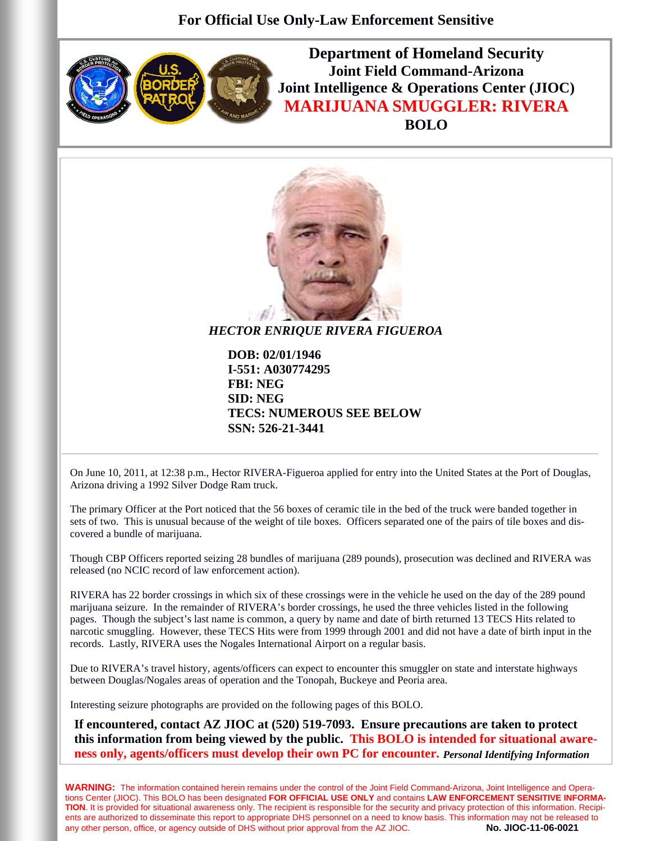

 **Department of Homeland Security Joint Field Command-Arizona Joint Intelligence & Operations Center (JIOC) MARIJUANA SMUGGLER: RIVERA BOLO** 



*HECTOR ENRIQUE RIVERA FIGUEROA* 

**DOB: 02/01/1946 I-551: A030774295 FBI: NEG SID: NEG TECS: NUMEROUS SEE BELOW SSN: 526-21-3441** 

On June 10, 2011, at 12:38 p.m., Hector RIVERA-Figueroa applied for entry into the United States at the Port of Douglas, Arizona driving a 1992 Silver Dodge Ram truck.

The primary Officer at the Port noticed that the 56 boxes of ceramic tile in the bed of the truck were banded together in sets of two. This is unusual because of the weight of tile boxes. Officers separated one of the pairs of tile boxes and discovered a bundle of marijuana.

Though CBP Officers reported seizing 28 bundles of marijuana (289 pounds), prosecution was declined and RIVERA was released (no NCIC record of law enforcement action).

RIVERA has 22 border crossings in which six of these crossings were in the vehicle he used on the day of the 289 pound marijuana seizure. In the remainder of RIVERA's border crossings, he used the three vehicles listed in the following pages. Though the subject's last name is common, a query by name and date of birth returned 13 TECS Hits related to narcotic smuggling. However, these TECS Hits were from 1999 through 2001 and did not have a date of birth input in the records. Lastly, RIVERA uses the Nogales International Airport on a regular basis.

Due to RIVERA's travel history, agents/officers can expect to encounter this smuggler on state and interstate highways between Douglas/Nogales areas of operation and the Tonopah, Buckeye and Peoria area.

Interesting seizure photographs are provided on the following pages of this BOLO.

*Personal Identifying Information*  **ness only, agents/officers must develop their own PC for encounter. If encountered, contact AZ JIOC at (520) 519-7093. Ensure precautions are taken to protect this information from being viewed by the public. This BOLO is intended for situational aware-**

**WARNING:** The information contained herein remains under the control of the Joint Field Command-Arizona, Joint Intelligence and Operations Center (JIOC). This BOLO has been designated **FOR OFFICIAL USE ONLY** and contains **LAW ENFORCEMENT SENSITIVE INFORMA-TION**. It is provided for situational awareness only. The recipient is responsible for the security and privacy protection of this information. Recipients are authorized to disseminate this report to appropriate DHS personnel on a need to know basis. This information may not be released to any other person, office, or agency outside of DHS without prior approval from the AZ JIOC. **No. JIOC-11-06-0021**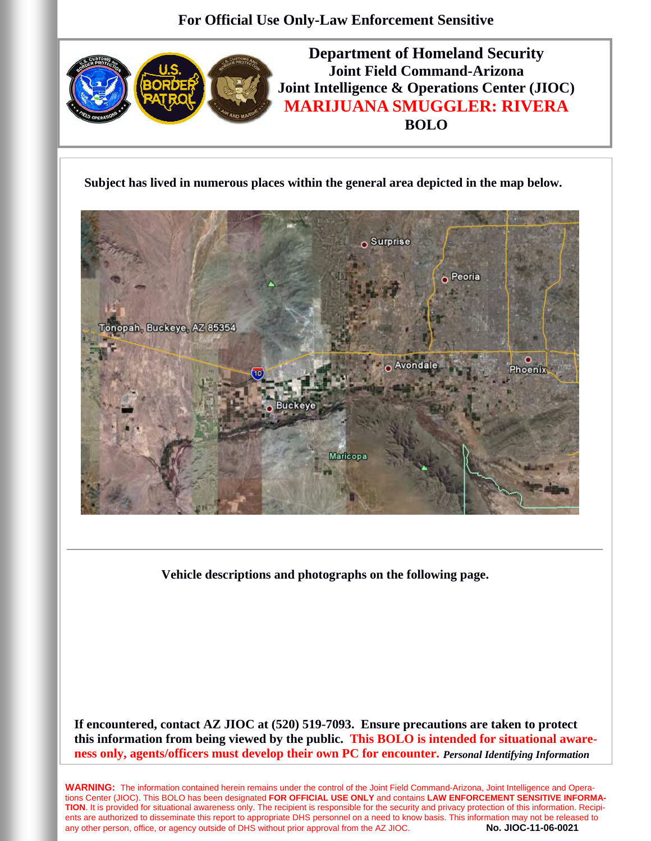

 **Department of Homeland Security Joint Field Command-Arizona Joint Intelligence & Operations Center (JIOC) MARIJUANA SMUGGLER: RIVERA BOLO** 

**Subject has lived in numerous places within the general area depicted in the map below.** 



**Vehicle descriptions and photographs on the following page.** 

*Personal Identifying Information*  **ness only, agents/officers must develop their own PC for encounter. If encountered, contact AZ JIOC at (520) 519-7093. Ensure precautions are taken to protect this information from being viewed by the public. This BOLO is intended for situational aware-**

**WARNING:** The information contained herein remains under the control of the Joint Field Command-Arizona, Joint Intelligence and Operations Center (JIOC). This BOLO has been designated **FOR OFFICIAL USE ONLY** and contains **LAW ENFORCEMENT SENSITIVE INFORMA-TION**. It is provided for situational awareness only. The recipient is responsible for the security and privacy protection of this information. Recipients are authorized to disseminate this report to appropriate DHS personnel on a need to know basis. This information may not be released to any other person, office, or agency outside of DHS without prior approval from th any other person, office, or agency outside of DHS without prior approval from the AZ JIOC.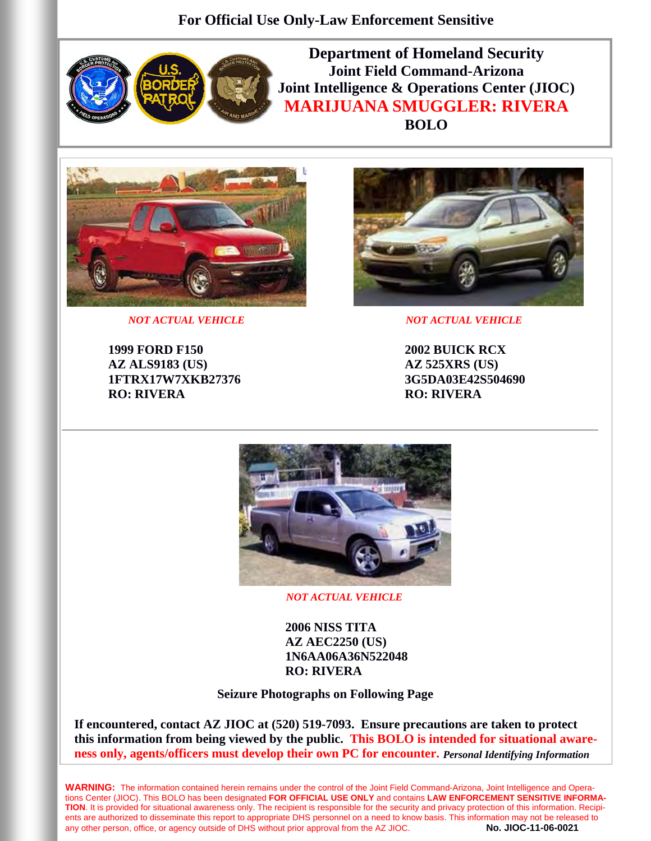

 **Department of Homeland Security Joint Field Command-Arizona Joint Intelligence & Operations Center (JIOC) MARIJUANA SMUGGLER: RIVERA BOLO** 



*NOT ACTUAL VEHICLE NOT ACTUAL VEHICLE* 

**1999 FORD F150 AZ ALS9183 (US) 1FTRX17W7XKB27376 RO: RIVERA** 



**2002 BUICK RCX AZ 525XRS (US) 3G5DA03E42S504690 RO: RIVERA** 



*NOT ACTUAL VEHICLE* 

**2006 NISS TITA AZ AEC2250 (US) 1N6AA06A36N522048 RO: RIVERA** 

**Seizure Photographs on Following Page** 

*Personal Identifying Information*  **ness only, agents/officers must develop their own PC for encounter. If encountered, contact AZ JIOC at (520) 519-7093. Ensure precautions are taken to protect this information from being viewed by the public. This BOLO is intended for situational aware-**

**WARNING:** The information contained herein remains under the control of the Joint Field Command-Arizona, Joint Intelligence and Operations Center (JIOC). This BOLO has been designated **FOR OFFICIAL USE ONLY** and contains **LAW ENFORCEMENT SENSITIVE INFORMA-TION**. It is provided for situational awareness only. The recipient is responsible for the security and privacy protection of this information. Recipients are authorized to disseminate this report to appropriate DHS personnel on a need to know basis. This information may not be released to any other person, office, or agency outside of DHS without prior approval from th any other person, office, or agency outside of DHS without prior approval from the AZ JIOC.